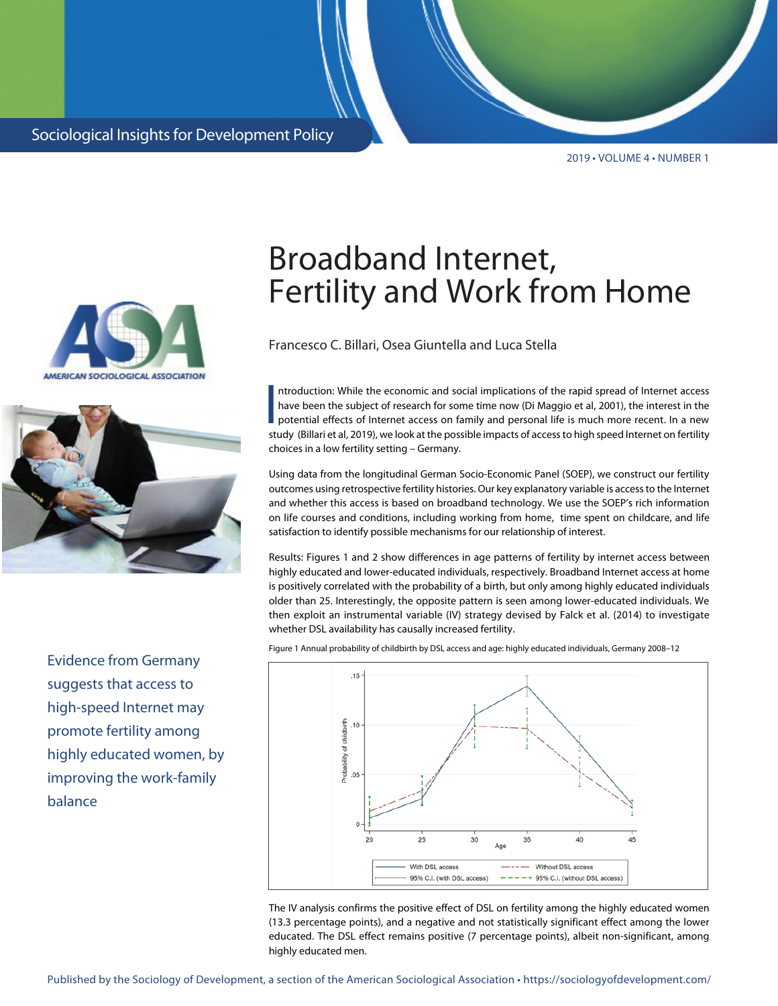2019 • VOLUME 4 • NUMBER 1





Evidence from Germany suggests that access to high-speed Internet may promote fertility among highly educated women, by improving the work-family balance

## Broadband Internet, Fertility and Work from Home

Francesco C. Billari, Osea Giuntella and Luca Stella

I<br>I<br>I<br>I Ch ntroduction: While the economic and social implications of the rapid spread of Internet access have been the subject of research for some time now (Di Maggio et al, 2001), the interest in the potential effects of Internet access on family and personal life is much more recent. In a new study (Billari et al, 2019), we look at the possible impacts of access to high speed Internet on fertility choices in a low fertility setting – Germany.

Using data from the longitudinal German Socio-Economic Panel (SOEP), we construct our fertility outcomes using retrospective fertility histories. Our key explanatory variable is access to the Internet and whether this access is based on broadband technology. We use the SOEP's rich information on life courses and conditions, including working from home, time spent on childcare, and life satisfaction to identify possible mechanisms for our relationship of interest.

Results: Figures 1 and 2 show differences in age patterns of fertility by internet access between highly educated and lower-educated individuals, respectively. Broadband Internet access at home is positively correlated with the probability of a birth, but only among highly educated individuals older than 25. Interestingly, the opposite pattern is seen among lower-educated individuals. We then exploit an instrumental variable (IV) strategy devised by Falck et al. (2014) to investigate whether DSL availability has causally increased fertility.

Figure 1 Annual probability of childbirth by DSL access and age: highly educated individuals, Germany 2008–12



The IV analysis confirms the positive effect of DSL on fertility among the highly educated women (13.3 percentage points), and a negative and not statistically significant effect among the lower educated. The DSL effect remains positive (7 percentage points), albeit non-significant, among highly educated men.